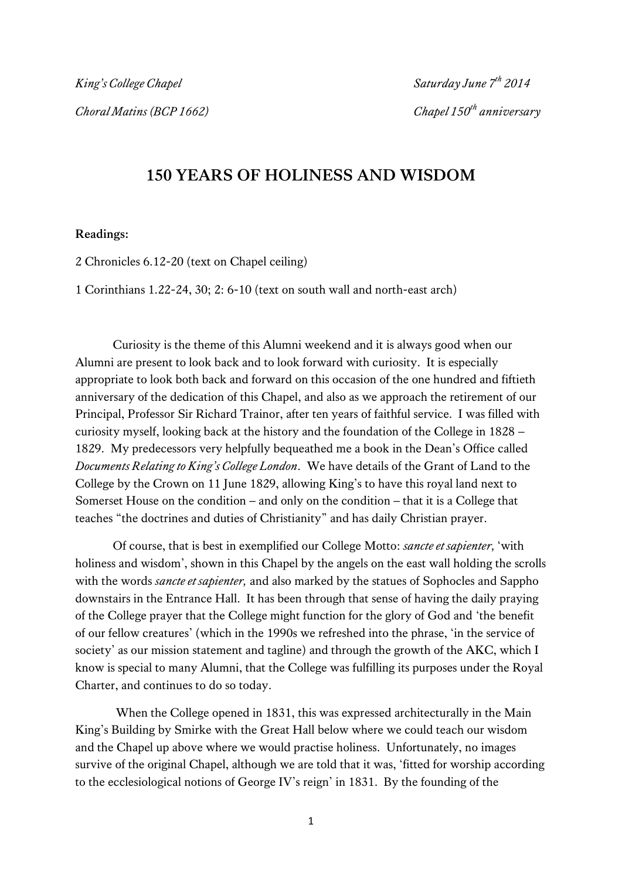## **150 YEARS OF HOLINESS AND WISDOM**

## **Readings:**

2 Chronicles 6.12-20 (text on Chapel ceiling)

1 Corinthians 1.22-24, 30; 2: 6-10 (text on south wall and north-east arch)

 Curiosity is the theme of this Alumni weekend and it is always good when our Alumni are present to look back and to look forward with curiosity. It is especially appropriate to look both back and forward on this occasion of the one hundred and fiftieth anniversary of the dedication of this Chapel, and also as we approach the retirement of our Principal, Professor Sir Richard Trainor, after ten years of faithful service. I was filled with curiosity myself, looking back at the history and the foundation of the College in 1828 – 1829. My predecessors very helpfully bequeathed me a book in the Dean's Office called *Documents Relating to King's College London*. We have details of the Grant of Land to the College by the Crown on 11 June 1829, allowing King's to have this royal land next to Somerset House on the condition – and only on the condition – that it is a College that teaches "the doctrines and duties of Christianity" and has daily Christian prayer.

 Of course, that is best in exemplified our College Motto: *sancte et sapienter,* 'with holiness and wisdom', shown in this Chapel by the angels on the east wall holding the scrolls with the words *sancte et sapienter,* and also marked by the statues of Sophocles and Sappho downstairs in the Entrance Hall. It has been through that sense of having the daily praying of the College prayer that the College might function for the glory of God and 'the benefit of our fellow creatures' (which in the 1990s we refreshed into the phrase, 'in the service of society' as our mission statement and tagline) and through the growth of the AKC, which I know is special to many Alumni, that the College was fulfilling its purposes under the Royal Charter, and continues to do so today.

 When the College opened in 1831, this was expressed architecturally in the Main King's Building by Smirke with the Great Hall below where we could teach our wisdom and the Chapel up above where we would practise holiness. Unfortunately, no images survive of the original Chapel, although we are told that it was, 'fitted for worship according to the ecclesiological notions of George IV's reign' in 1831. By the founding of the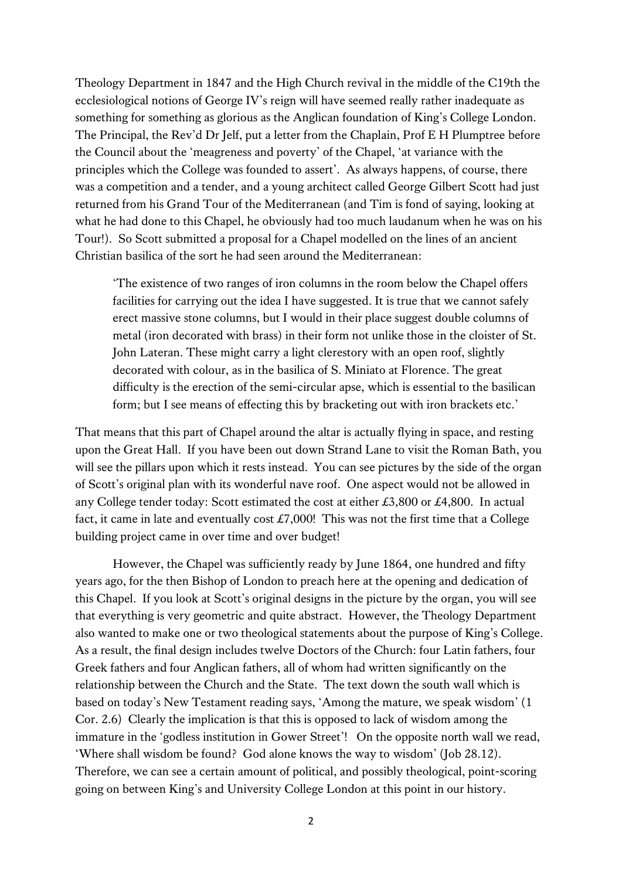Theology Department in 1847 and the High Church revival in the middle of the C19th the ecclesiological notions of George IV's reign will have seemed really rather inadequate as something for something as glorious as the Anglican foundation of King's College London. The Principal, the Rev'd Dr Jelf, put a letter from the Chaplain, Prof E H Plumptree before the Council about the 'meagreness and poverty' of the Chapel, 'at variance with the principles which the College was founded to assert'. As always happens, of course, there was a competition and a tender, and a young architect called George Gilbert Scott had just returned from his Grand Tour of the Mediterranean (and Tim is fond of saying, looking at what he had done to this Chapel, he obviously had too much laudanum when he was on his Tour!). So Scott submitted a proposal for a Chapel modelled on the lines of an ancient Christian basilica of the sort he had seen around the Mediterranean:

'The existence of two ranges of iron columns in the room below the Chapel offers facilities for carrying out the idea I have suggested. It is true that we cannot safely erect massive stone columns, but I would in their place suggest double columns of metal (iron decorated with brass) in their form not unlike those in the cloister of St. John Lateran. These might carry a light clerestory with an open roof, slightly decorated with colour, as in the basilica of S. Miniato at Florence. The great difficulty is the erection of the semi-circular apse, which is essential to the basilican form; but I see means of effecting this by bracketing out with iron brackets etc.'

That means that this part of Chapel around the altar is actually flying in space, and resting upon the Great Hall. If you have been out down Strand Lane to visit the Roman Bath, you will see the pillars upon which it rests instead. You can see pictures by the side of the organ of Scott's original plan with its wonderful nave roof. One aspect would not be allowed in any College tender today: Scott estimated the cost at either  $\text{\pounds}3,800$  or  $\text{\pounds}4,800$ . In actual fact, it came in late and eventually cost  $\pounds$ 7,000! This was not the first time that a College building project came in over time and over budget!

However, the Chapel was sufficiently ready by June 1864, one hundred and fifty years ago, for the then Bishop of London to preach here at the opening and dedication of this Chapel. If you look at Scott's original designs in the picture by the organ, you will see that everything is very geometric and quite abstract. However, the Theology Department also wanted to make one or two theological statements about the purpose of King's College. As a result, the final design includes twelve Doctors of the Church: four Latin fathers, four Greek fathers and four Anglican fathers, all of whom had written significantly on the relationship between the Church and the State. The text down the south wall which is based on today's New Testament reading says, 'Among the mature, we speak wisdom' (1 Cor. 2.6) Clearly the implication is that this is opposed to lack of wisdom among the immature in the 'godless institution in Gower Street'! On the opposite north wall we read, 'Where shall wisdom be found? God alone knows the way to wisdom' (Job 28.12). Therefore, we can see a certain amount of political, and possibly theological, point-scoring going on between King's and University College London at this point in our history.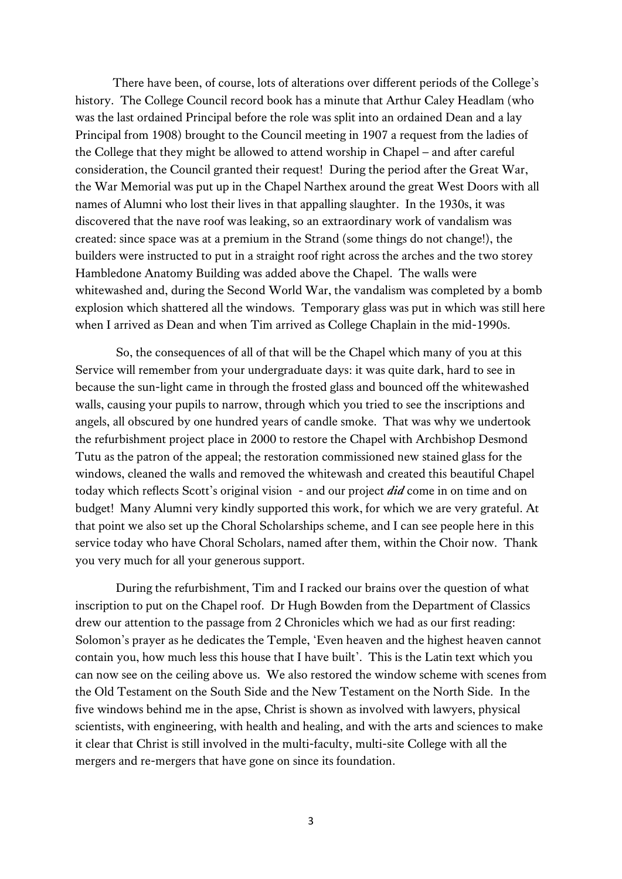There have been, of course, lots of alterations over different periods of the College's history. The College Council record book has a minute that Arthur Caley Headlam (who was the last ordained Principal before the role was split into an ordained Dean and a lay Principal from 1908) brought to the Council meeting in 1907 a request from the ladies of the College that they might be allowed to attend worship in Chapel – and after careful consideration, the Council granted their request! During the period after the Great War, the War Memorial was put up in the Chapel Narthex around the great West Doors with all names of Alumni who lost their lives in that appalling slaughter. In the 1930s, it was discovered that the nave roof was leaking, so an extraordinary work of vandalism was created: since space was at a premium in the Strand (some things do not change!), the builders were instructed to put in a straight roof right across the arches and the two storey Hambledone Anatomy Building was added above the Chapel. The walls were whitewashed and, during the Second World War, the vandalism was completed by a bomb explosion which shattered all the windows. Temporary glass was put in which was still here when I arrived as Dean and when Tim arrived as College Chaplain in the mid-1990s.

So, the consequences of all of that will be the Chapel which many of you at this Service will remember from your undergraduate days: it was quite dark, hard to see in because the sun-light came in through the frosted glass and bounced off the whitewashed walls, causing your pupils to narrow, through which you tried to see the inscriptions and angels, all obscured by one hundred years of candle smoke. That was why we undertook the refurbishment project place in 2000 to restore the Chapel with Archbishop Desmond Tutu as the patron of the appeal; the restoration commissioned new stained glass for the windows, cleaned the walls and removed the whitewash and created this beautiful Chapel today which reflects Scott's original vision - and our project *did* come in on time and on budget! Many Alumni very kindly supported this work, for which we are very grateful. At that point we also set up the Choral Scholarships scheme, and I can see people here in this service today who have Choral Scholars, named after them, within the Choir now. Thank you very much for all your generous support.

 During the refurbishment, Tim and I racked our brains over the question of what inscription to put on the Chapel roof. Dr Hugh Bowden from the Department of Classics drew our attention to the passage from 2 Chronicles which we had as our first reading: Solomon's prayer as he dedicates the Temple, 'Even heaven and the highest heaven cannot contain you, how much less this house that I have built'. This is the Latin text which you can now see on the ceiling above us. We also restored the window scheme with scenes from the Old Testament on the South Side and the New Testament on the North Side. In the five windows behind me in the apse, Christ is shown as involved with lawyers, physical scientists, with engineering, with health and healing, and with the arts and sciences to make it clear that Christ is still involved in the multi-faculty, multi-site College with all the mergers and re-mergers that have gone on since its foundation.